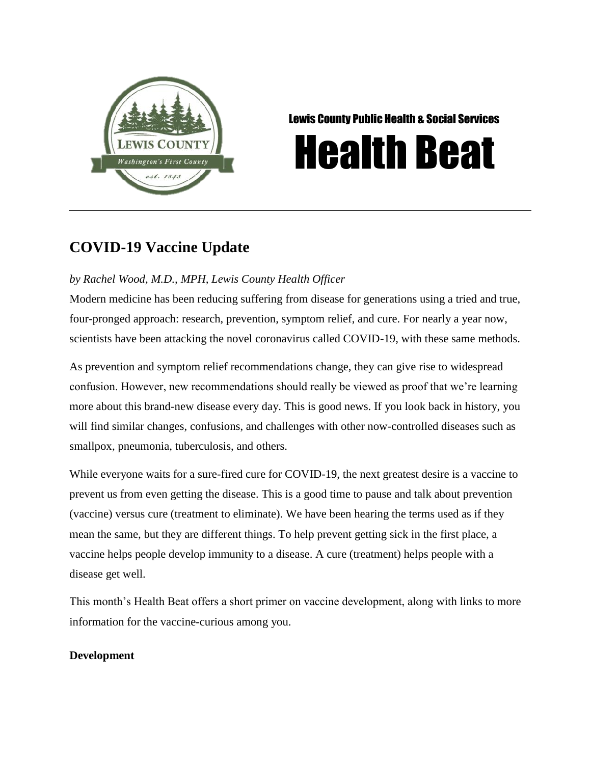

Lewis County Public Health & Social Services

# Health Beat

# **COVID-19 Vaccine Update**

## *by Rachel Wood, M.D., MPH, Lewis County Health Officer*

Modern medicine has been reducing suffering from disease for generations using a tried and true, four-pronged approach: research, prevention, symptom relief, and cure. For nearly a year now, scientists have been attacking the novel coronavirus called COVID-19, with these same methods.

As prevention and symptom relief recommendations change, they can give rise to widespread confusion. However, new recommendations should really be viewed as proof that we're learning more about this brand-new disease every day. This is good news. If you look back in history, you will find similar changes, confusions, and challenges with other now-controlled diseases such as smallpox, pneumonia, tuberculosis, and others.

While everyone waits for a sure-fired cure for COVID-19, the next greatest desire is a vaccine to prevent us from even getting the disease. This is a good time to pause and talk about prevention (vaccine) versus cure (treatment to eliminate). We have been hearing the terms used as if they mean the same, but they are different things. To help prevent getting sick in the first place, a vaccine helps people develop immunity to a disease. A cure (treatment) helps people with a disease get well.

This month's Health Beat offers a short primer on vaccine development, along with links to more information for the vaccine-curious among you.

### **Development**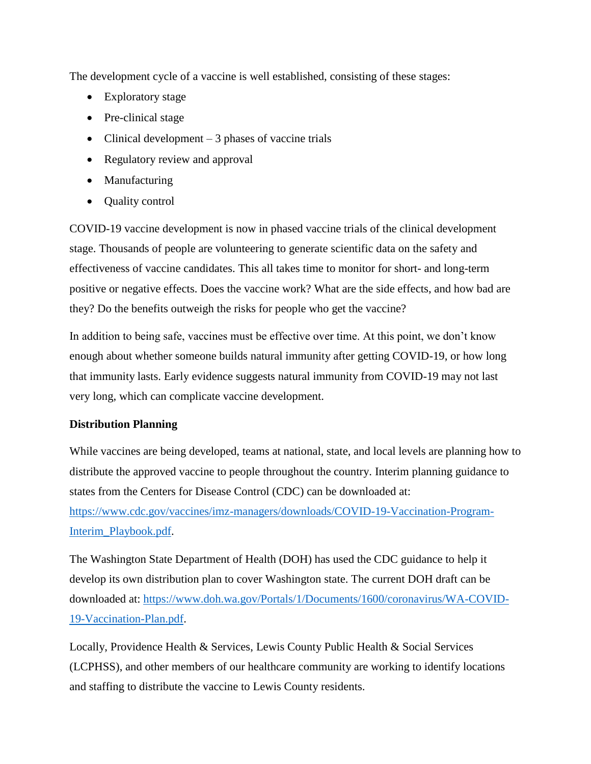The development cycle of a vaccine is well established, consisting of these stages:

- Exploratory stage
- Pre-clinical stage
- Clinical development  $-3$  phases of vaccine trials
- Regulatory review and approval
- Manufacturing
- Quality control

COVID-19 vaccine development is now in phased vaccine trials of the clinical development stage. Thousands of people are volunteering to generate scientific data on the safety and effectiveness of vaccine candidates. This all takes time to monitor for short- and long-term positive or negative effects. Does the vaccine work? What are the side effects, and how bad are they? Do the benefits outweigh the risks for people who get the vaccine?

In addition to being safe, vaccines must be effective over time. At this point, we don't know enough about whether someone builds natural immunity after getting COVID-19, or how long that immunity lasts. Early evidence suggests natural immunity from COVID-19 may not last very long, which can complicate vaccine development.

#### **Distribution Planning**

While vaccines are being developed, teams at national, state, and local levels are planning how to distribute the approved vaccine to people throughout the country. Interim planning guidance to states from the Centers for Disease Control (CDC) can be downloaded at: [https://www.cdc.gov/vaccines/imz-managers/downloads/COVID-19-Vaccination-Program-](https://www.cdc.gov/vaccines/imz-managers/downloads/COVID-19-Vaccination-Program-Interim_Playbook.pdf)[Interim\\_Playbook.pdf.](https://www.cdc.gov/vaccines/imz-managers/downloads/COVID-19-Vaccination-Program-Interim_Playbook.pdf)

The Washington State Department of Health (DOH) has used the CDC guidance to help it develop its own distribution plan to cover Washington state. The current DOH draft can be downloaded at: [https://www.doh.wa.gov/Portals/1/Documents/1600/coronavirus/WA-COVID-](https://www.doh.wa.gov/Portals/1/Documents/1600/coronavirus/WA-COVID-19-Vaccination-Plan.pdf)[19-Vaccination-Plan.pdf.](https://www.doh.wa.gov/Portals/1/Documents/1600/coronavirus/WA-COVID-19-Vaccination-Plan.pdf)

Locally, Providence Health & Services, Lewis County Public Health & Social Services (LCPHSS), and other members of our healthcare community are working to identify locations and staffing to distribute the vaccine to Lewis County residents.